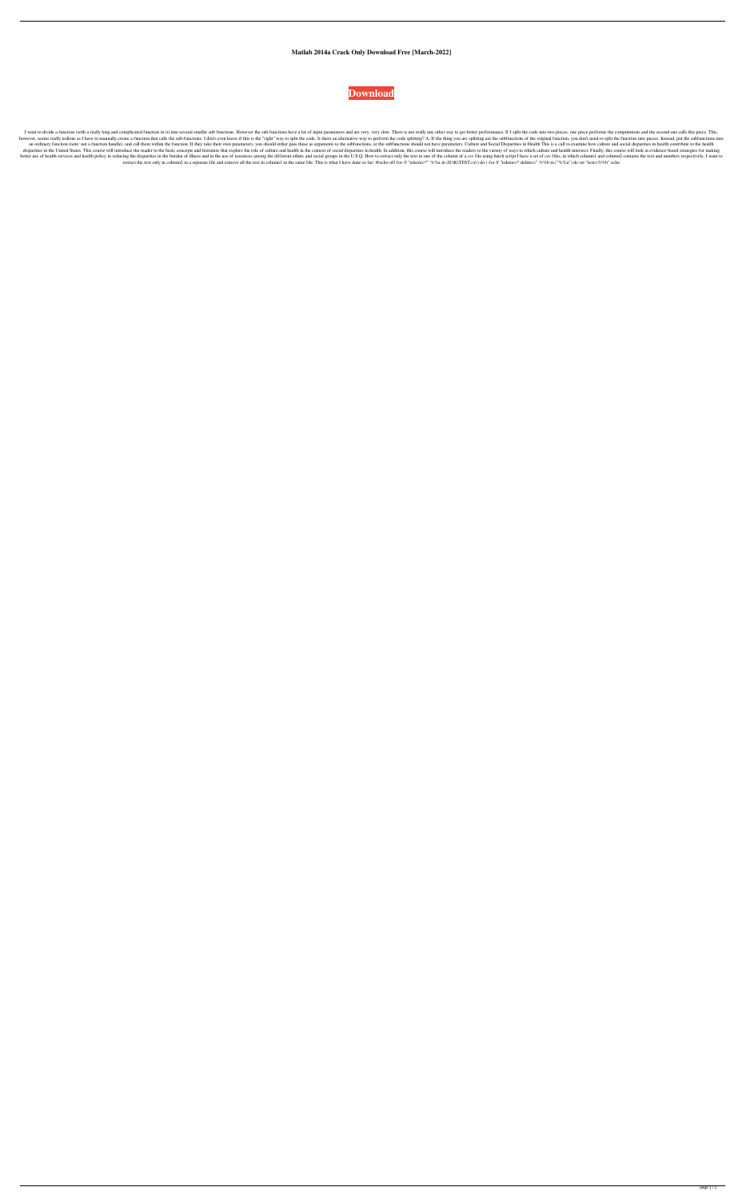**Matlab 2014a Crack Only Download Free [March-2022]**



I want to divide a function (with a really long and complicated function in it) into several smaller sub functions. However the sub functions have a lot of input parameters and are very, very slow. There is not really any however, seems really tedious as I have to manually create a function that calls the sub-functions. I don't even know if this is the "right" way to split the code. Is there an alternative way to perform the code splitting? an ordinary function (note: not a function handle), and call them within the function. If they take their own parameters, you should either pass these as arguments to the subfunctions, or the subfunctions should not have p disparities in the United States. This course will introduce the reader to the basic concepts and literature that explore the role of culture and health in the context of social disparities in health. In addition, this cou better use of health services and health policy in reducing the disparities in the burden of illness and in the use of resources among the different ethnic and racial groups in the U.S.Q: How to extract only the text in on extract the text only in column2 in a separate file and remove all the text in column1 in the same file. This is what I have done so far: @echo off for /f "tokens=\*" %%a in (D:\K\TEST.csv) do (for /f "tokens=\* delims=" %%b